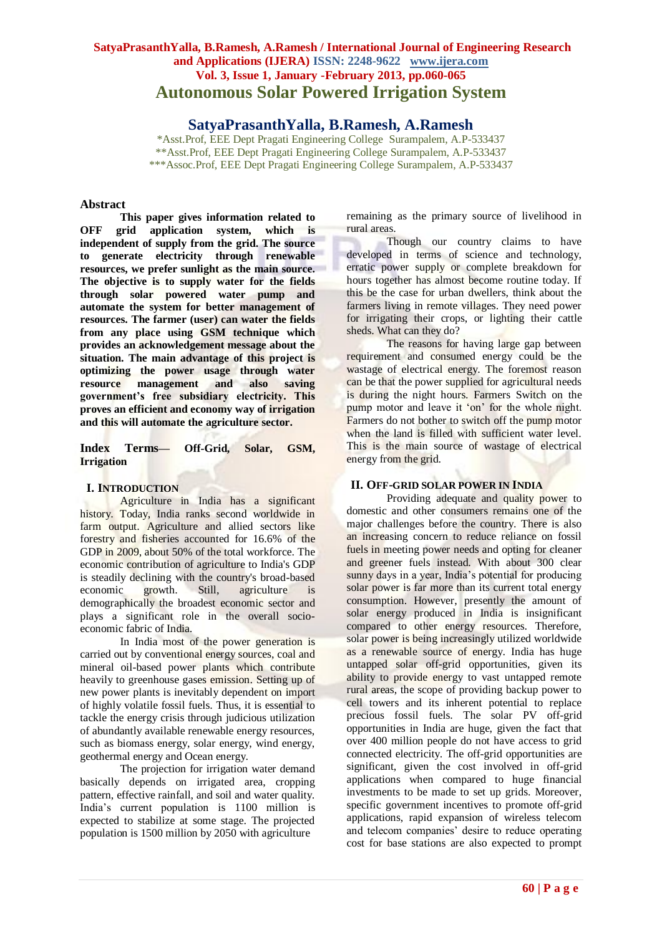# **SatyaPrasanthYalla, B.Ramesh, A.Ramesh / International Journal of Engineering Research and Applications (IJERA) ISSN: 2248-9622 www.ijera.com Vol. 3, Issue 1, January -February 2013, pp.060-065 Autonomous Solar Powered Irrigation System**

**SatyaPrasanthYalla, B.Ramesh, A.Ramesh**

\*Asst.Prof, EEE Dept Pragati Engineering College Surampalem, A.P-533437 \*\*Asst.Prof, EEE Dept Pragati Engineering College Surampalem, A.P-533437 \*\*\*Assoc.Prof, EEE Dept Pragati Engineering College Surampalem, A.P-533437

### **Abstract**

**This paper gives information related to OFF grid application system, which is independent of supply from the grid. The source to generate electricity through renewable resources, we prefer sunlight as the main source. The objective is to supply water for the fields through solar powered water pump and automate the system for better management of resources. The farmer (user) can water the fields from any place using GSM technique which provides an acknowledgement message about the situation. The main advantage of this project is optimizing the power usage through water resource management and also saving government's free subsidiary electricity. This proves an efficient and economy way of irrigation and this will automate the agriculture sector.**

**Index Terms— Off-Grid, Solar, GSM, Irrigation**

# **I. INTRODUCTION**

Agriculture in India has a significant history. Today, India ranks second worldwide in farm output. Agriculture and allied sectors like forestry and fisheries accounted for 16.6% of the GDP in 2009, about 50% of the total workforce. The economic contribution of agriculture to India's GDP is steadily declining with the country's broad-based economic growth. Still, agriculture is demographically the broadest economic sector and plays a significant role in the overall socioeconomic fabric of India.

In India most of the power generation is carried out by conventional energy sources, coal and mineral oil-based power plants which contribute heavily to greenhouse gases emission. Setting up of new power plants is inevitably dependent on import of highly volatile fossil fuels. Thus, it is essential to tackle the energy crisis through judicious utilization of abundantly available renewable energy resources, such as biomass energy, solar energy, wind energy, geothermal energy and Ocean energy.

The projection for irrigation water demand basically depends on irrigated area, cropping pattern, effective rainfall, and soil and water quality. India"s current population is 1100 million is expected to stabilize at some stage. The projected population is 1500 million by 2050 with agriculture

remaining as the primary source of livelihood in rural areas.

Though our country claims to have developed in terms of science and technology, erratic power supply or complete breakdown for hours together has almost become routine today. If this be the case for urban dwellers, think about the farmers living in remote villages. They need power for irrigating their crops, or lighting their cattle sheds. What can they do?

The reasons for having large gap between requirement and consumed energy could be the wastage of electrical energy. The foremost reason can be that the power supplied for agricultural needs is during the night hours. Farmers Switch on the pump motor and leave it 'on' for the whole night. Farmers do not bother to switch off the pump motor when the land is filled with sufficient water level. This is the main source of wastage of electrical energy from the grid.

# **II. OFF-GRID SOLAR POWER IN INDIA**

Providing adequate and quality power to domestic and other consumers remains one of the major challenges before the country. There is also an increasing concern to reduce reliance on fossil fuels in meeting power needs and opting for cleaner and greener fuels instead. With about 300 clear sunny days in a year, India's potential for producing solar power is far more than its current total energy consumption. However, presently the amount of solar energy produced in India is insignificant compared to other energy resources. Therefore, solar power is being increasingly utilized worldwide as a renewable source of energy. India has huge untapped solar off-grid opportunities, given its ability to provide energy to vast untapped remote rural areas, the scope of providing backup power to cell towers and its inherent potential to replace precious fossil fuels. The solar PV off-grid opportunities in India are huge, given the fact that over 400 million people do not have access to grid connected electricity. The off-grid opportunities are significant, given the cost involved in off-grid applications when compared to huge financial investments to be made to set up grids. Moreover, specific government incentives to promote off-grid applications, rapid expansion of wireless telecom and telecom companies' desire to reduce operating cost for base stations are also expected to prompt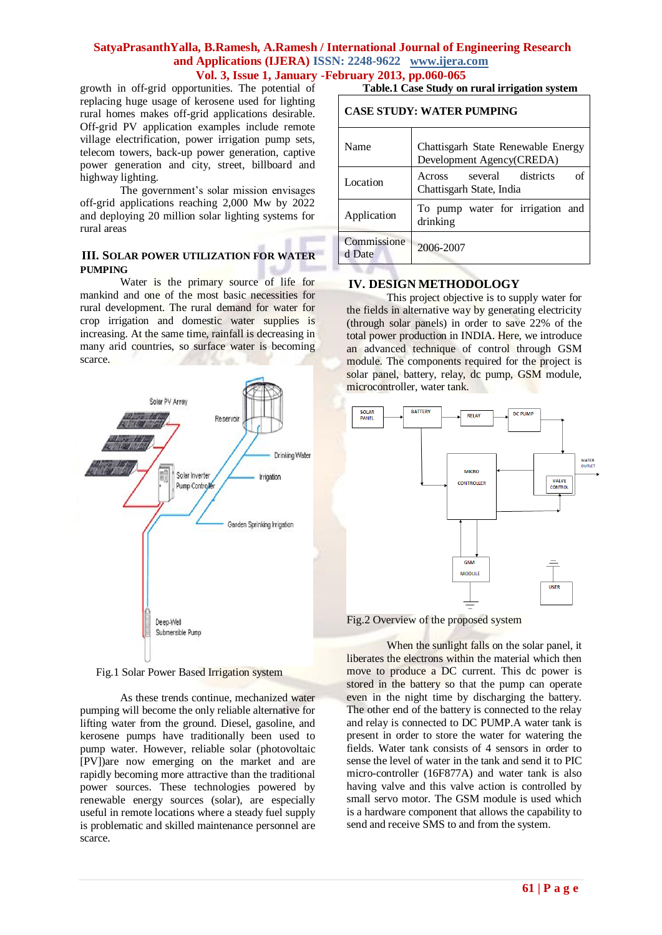growth in off-grid opportunities. The potential of replacing huge usage of kerosene used for lighting rural homes makes off-grid applications desirable. Off-grid PV application examples include remote village electrification, power irrigation pump sets, telecom towers, back-up power generation, captive power generation and city, street, billboard and highway lighting.

The government's solar mission envisages off-grid applications reaching 2,000 Mw by 2022 and deploying 20 million solar lighting systems for rural areas

# **III. SOLAR POWER UTILIZATION FOR WATER PUMPING**

Water is the primary source of life for mankind and one of the most basic necessities for rural development. The rural demand for water for crop irrigation and domestic water supplies is increasing. At the same time, rainfall is decreasing in many arid countries, so surface water is becoming scarce.



Fig.1 Solar Power Based Irrigation system

As these trends continue, mechanized water pumping will become the only reliable alternative for lifting water from the ground. Diesel, gasoline, and kerosene pumps have traditionally been used to pump water. However, reliable solar (photovoltaic [PV])are now emerging on the market and are rapidly becoming more attractive than the traditional power sources. These technologies powered by renewable energy sources (solar), are especially useful in remote locations where a steady fuel supply is problematic and skilled maintenance personnel are scarce.

**Table.1 Case Study on rural irrigation system**

| <b>CASE STUDY: WATER PUMPING</b> |                                                                 |
|----------------------------------|-----------------------------------------------------------------|
| Name                             | Chattisgarh State Renewable Energy<br>Development Agency(CREDA) |
| Location                         | οf<br>several districts<br>Across<br>Chattisgarh State, India   |
| Application                      | To pump water for irrigation and<br>drinking                    |
| Commissione<br>d Date            | 2006-2007                                                       |

# **IV. DESIGN METHODOLOGY**

This project objective is to supply water for the fields in alternative way by generating electricity (through solar panels) in order to save 22% of the total power production in INDIA. Here, we introduce an advanced technique of control through GSM module. The components required for the project is solar panel, battery, relay, dc pump, GSM module, microcontroller, water tank.



Fig.2 Overview of the proposed system

When the sunlight falls on the solar panel, it liberates the electrons within the material which then move to produce a DC current. This dc power is stored in the battery so that the pump can operate even in the night time by discharging the battery. The other end of the battery is connected to the relay and relay is connected to DC PUMP.A water tank is present in order to store the water for watering the fields. Water tank consists of 4 sensors in order to sense the level of water in the tank and send it to PIC micro-controller (16F877A) and water tank is also having valve and this valve action is controlled by small servo motor. The GSM module is used which is a hardware component that allows the capability to send and receive SMS to and from the system.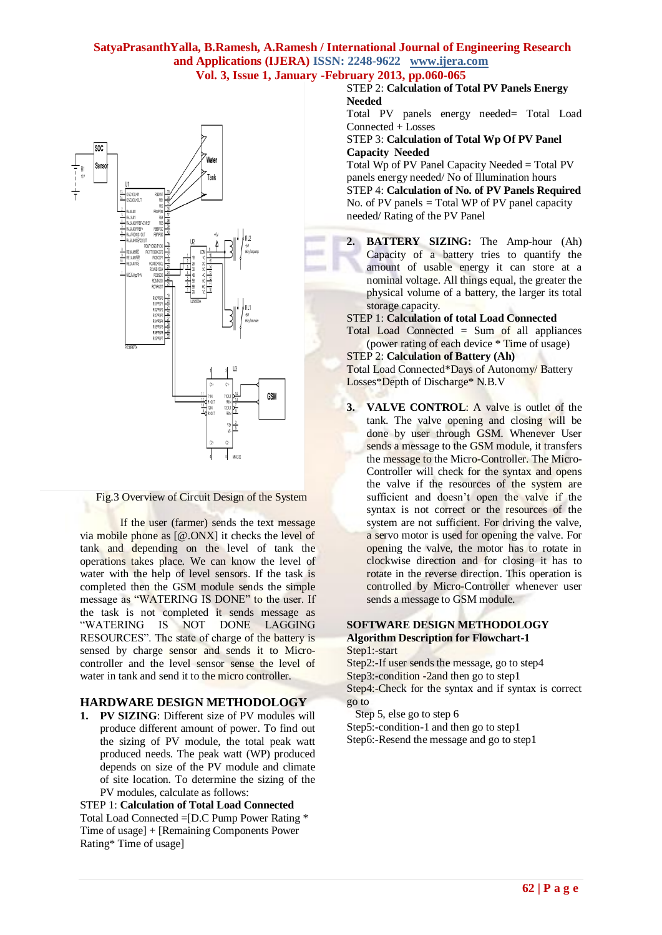

Fig.3 Overview of Circuit Design of the System

If the user (farmer) sends the text message via mobile phone as  $[@.ONX]$  it checks the level of tank and depending on the level of tank the operations takes place. We can know the level of water with the help of level sensors. If the task is completed then the GSM module sends the simple message as "WATERING IS DONE" to the user. If the task is not completed it sends message as "WATERING IS NOT DONE LAGGING RESOURCES". The state of charge of the battery is sensed by charge sensor and sends it to Microcontroller and the level sensor sense the level of water in tank and send it to the micro controller.

### **HARDWARE DESIGN METHODOLOGY**

**1. PV SIZING**: Different size of PV modules will produce different amount of power. To find out the sizing of PV module, the total peak watt produced needs. The peak watt (WP) produced depends on size of the PV module and climate of site location. To determine the sizing of the PV modules, calculate as follows:

STEP 1: **Calculation of Total Load Connected** Total Load Connected =[D.C Pump Power Rating \* Time of usage] + [Remaining Components Power Rating\* Time of usage]

### STEP 2: **Calculation of Total PV Panels Energy Needed**

Total PV panels energy needed= Total Load Connected + Losses

STEP 3: **Calculation of Total Wp Of PV Panel Capacity Needed**

Total Wp of PV Panel Capacity Needed = Total PV panels energy needed/ No of Illumination hours STEP 4: **Calculation of No. of PV Panels Required** No. of PV panels *=* Total WP of PV panel capacity needed/ Rating of the PV Panel

**2. BATTERY SIZING:** The Amp-hour (Ah) Capacity of a battery tries to quantify the amount of usable energy it can store at a nominal voltage. All things equal, the greater the physical volume of a battery, the larger its total storage capacity.

#### STEP 1: **Calculation of total Load Connected**

Total Load Connected = Sum of all appliances (power rating of each device \* Time of usage)

#### STEP 2: **Calculation of Battery (Ah)**

Total Load Connected\*Days of Autonomy/ Battery Losses\*Depth of Discharge\* N.B.V

**3. VALVE CONTROL**: A valve is outlet of the tank. The valve opening and closing will be done by user through GSM. Whenever User sends a message to the GSM module, it transfers the message to the Micro-Controller. The Micro-Controller will check for the syntax and opens the valve if the resources of the system are sufficient and doesn"t open the valve if the syntax is not correct or the resources of the system are not sufficient. For driving the valve, a servo motor is used for opening the valve. For opening the valve, the motor has to rotate in clockwise direction and for closing it has to rotate in the reverse direction. This operation is controlled by Micro-Controller whenever user sends a message to GSM module.

### **SOFTWARE DESIGN METHODOLOGY Algorithm Description for Flowchart-1**

Step1:-start

Step2:-If user sends the message, go to step4 Step3:-condition -2and then go to step1 Step4:-Check for the syntax and if syntax is correct go to

Step 5, else go to step 6

Step5:-condition-1 and then go to step1 Step6:-Resend the message and go to step1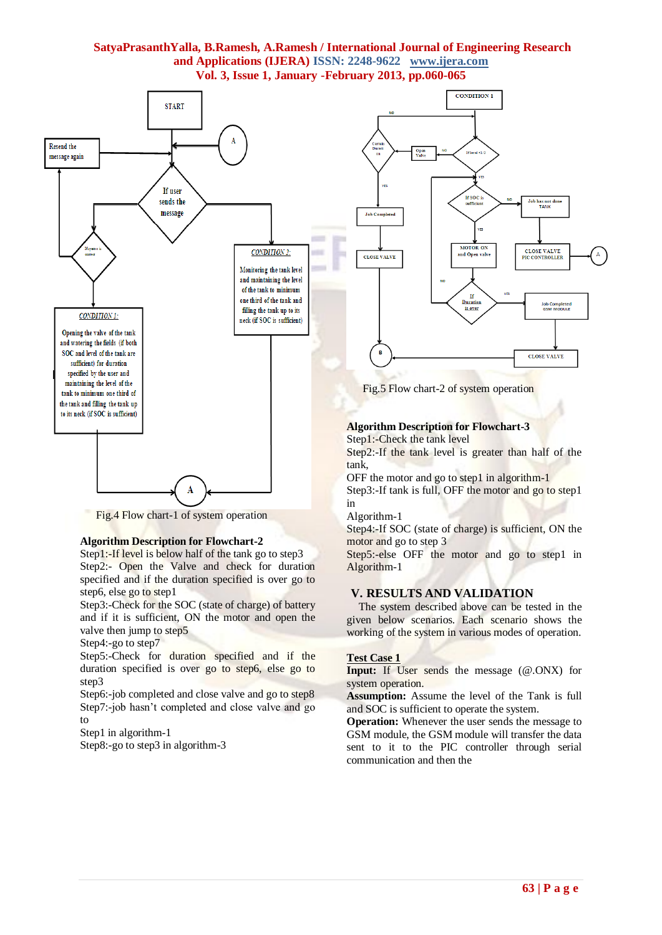![](_page_3_Figure_1.jpeg)

Fig.4 Flow chart-1 of system operation

#### **Algorithm Description for Flowchart-2**

Step1:-If level is below half of the tank go to step3 Step2:- Open the Valve and check for duration specified and if the duration specified is over go to step6, else go to step1

Step3:-Check for the SOC (state of charge) of battery and if it is sufficient, ON the motor and open the valve then jump to step5

#### Step4:-go to step7

Step5:-Check for duration specified and if the duration specified is over go to step6, else go to step3

Step6:-job completed and close valve and go to step8 Step7:-job hasn't completed and close valve and go to

Step1 in algorithm-1

Step8:-go to step3 in algorithm-3

# Algorithm-1

Step4:-If SOC (state of charge) is sufficient, ON the motor and go to step 3

Step5:-else OFF the motor and go to step1 in Algorithm-1

#### **V. RESULTS AND VALIDATION**

The system described above can be tested in the given below scenarios. Each scenario shows the working of the system in various modes of operation.

#### **Test Case 1**

**Input:** If User sends the message (@.ONX) for system operation.

**Assumption:** Assume the level of the Tank is full and SOC is sufficient to operate the system.

**Operation:** Whenever the user sends the message to GSM module, the GSM module will transfer the data sent to it to the PIC controller through serial communication and then the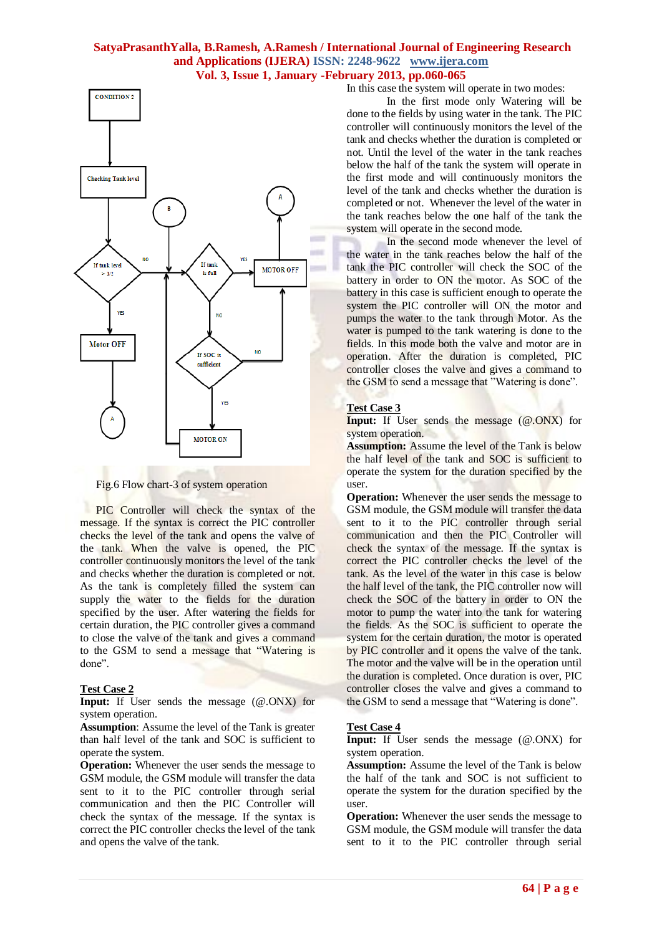![](_page_4_Figure_1.jpeg)

Fig.6 Flow chart-3 of system operation

PIC Controller will check the syntax of the message. If the syntax is correct the PIC controller checks the level of the tank and opens the valve of the tank. When the valve is opened, the PIC controller continuously monitors the level of the tank and checks whether the duration is completed or not. As the tank is completely filled the system can supply the water to the fields for the duration specified by the user. After watering the fields for certain duration, the PIC controller gives a command to close the valve of the tank and gives a command to the GSM to send a message that "Watering is done".

#### **Test Case 2**

**Input:** If User sends the message (@.ONX) for system operation.

**Assumption**: Assume the level of the Tank is greater than half level of the tank and SOC is sufficient to operate the system.

**Operation:** Whenever the user sends the message to GSM module, the GSM module will transfer the data sent to it to the PIC controller through serial communication and then the PIC Controller will check the syntax of the message. If the syntax is correct the PIC controller checks the level of the tank and opens the valve of the tank.

In this case the system will operate in two modes:

In the first mode only Watering will be done to the fields by using water in the tank. The PIC controller will continuously monitors the level of the tank and checks whether the duration is completed or not. Until the level of the water in the tank reaches below the half of the tank the system will operate in the first mode and will continuously monitors the level of the tank and checks whether the duration is completed or not. Whenever the level of the water in the tank reaches below the one half of the tank the system will operate in the second mode.

In the second mode whenever the level of the water in the tank reaches below the half of the tank the PIC controller will check the SOC of the battery in order to ON the motor. As SOC of the battery in this case is sufficient enough to operate the system the PIC controller will ON the motor and pumps the water to the tank through Motor. As the water is pumped to the tank watering is done to the fields. In this mode both the valve and motor are in operation. After the duration is completed, PIC controller closes the valve and gives a command to the GSM to send a message that "Watering is done".

# **Test Case 3**

**Input:** If User sends the message (@.ONX) for system operation.

**Assumption:** Assume the level of the Tank is below the half level of the tank and SOC is sufficient to operate the system for the duration specified by the user.

**Operation:** Whenever the user sends the message to GSM module, the GSM module will transfer the data sent to it to the PIC controller through serial communication and then the PIC Controller will check the syntax of the message. If the syntax is correct the PIC controller checks the level of the tank. As the level of the water in this case is below the half level of the tank, the PIC controller now will check the SOC of the battery in order to ON the motor to pump the water into the tank for watering the fields. As the SOC is sufficient to operate the system for the certain duration, the motor is operated by PIC controller and it opens the valve of the tank. The motor and the valve will be in the operation until the duration is completed. Once duration is over, PIC controller closes the valve and gives a command to the GSM to send a message that "Watering is done".

# **Test Case 4**

**Input:** If User sends the message (@.ONX) for system operation.

**Assumption:** Assume the level of the Tank is below the half of the tank and SOC is not sufficient to operate the system for the duration specified by the user.

**Operation:** Whenever the user sends the message to GSM module, the GSM module will transfer the data sent to it to the PIC controller through serial